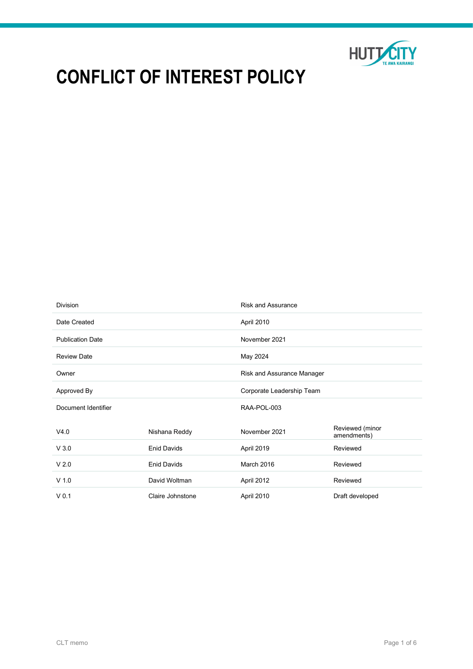

# CONFLICT OF INTEREST POLICY

| <b>Division</b>         |                    | <b>Risk and Assurance</b>  |                                |
|-------------------------|--------------------|----------------------------|--------------------------------|
| Date Created            |                    | April 2010                 |                                |
| <b>Publication Date</b> |                    | November 2021              |                                |
| <b>Review Date</b>      |                    | May 2024                   |                                |
| Owner                   |                    | Risk and Assurance Manager |                                |
| Approved By             |                    | Corporate Leadership Team  |                                |
| Document Identifier     |                    | RAA-POL-003                |                                |
| V4.0                    | Nishana Reddy      | November 2021              | Reviewed (minor<br>amendments) |
| V3.0                    | <b>Enid Davids</b> | April 2019                 | Reviewed                       |
| V <sub>2.0</sub>        | <b>Enid Davids</b> | March 2016                 | Reviewed                       |
| $V$ 1.0                 | David Woltman      | April 2012                 | Reviewed                       |
| V <sub>0.1</sub>        | Claire Johnstone   | April 2010                 | Draft developed                |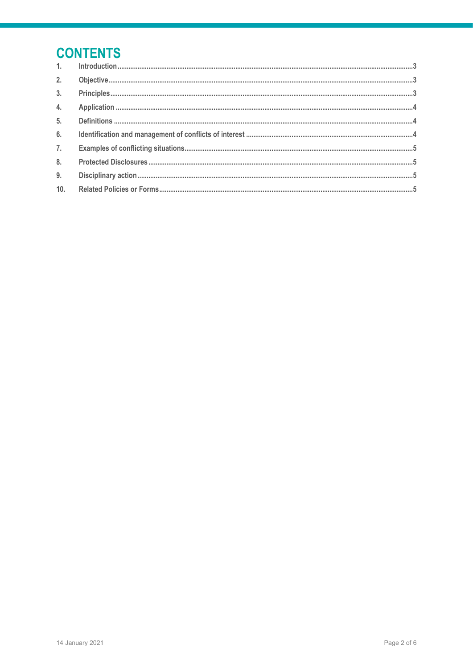## **CONTENTS**

| 2.             |                                                                                                                                                                                                                                                                                                                                                                                                                                                                                                                                                                                                                   |
|----------------|-------------------------------------------------------------------------------------------------------------------------------------------------------------------------------------------------------------------------------------------------------------------------------------------------------------------------------------------------------------------------------------------------------------------------------------------------------------------------------------------------------------------------------------------------------------------------------------------------------------------|
| 3 <sub>1</sub> | $\textbf{Principles} \, \textcolor{red}{.}\textcolor{blue}{.}\textcolor{blue}{.}\textcolor{blue}{.}\textcolor{blue}{.}\textcolor{blue}{.}\textcolor{blue}{.}\textcolor{blue}{.}\textcolor{blue}{.}\textcolor{blue}{.}\textcolor{blue}{.}\textcolor{blue}{.}\textcolor{blue}{.}\textcolor{blue}{.}\textcolor{blue}{.}\textcolor{blue}{.}\textcolor{blue}{.}\textcolor{blue}{.}\textcolor{blue}{.}\textcolor{blue}{.}\textcolor{blue}{.}\textcolor{blue}{.}\textcolor{blue}{.}\textcolor{blue}{.}\textcolor{blue}{.}\textcolor{blue}{.}\textcolor{blue}{.}\textcolor{blue}{.}\textcolor{blue}{.}\textcolor{blue}{.$ |
| 4.             |                                                                                                                                                                                                                                                                                                                                                                                                                                                                                                                                                                                                                   |
| 5.             |                                                                                                                                                                                                                                                                                                                                                                                                                                                                                                                                                                                                                   |
| 6.             |                                                                                                                                                                                                                                                                                                                                                                                                                                                                                                                                                                                                                   |
| 7.             |                                                                                                                                                                                                                                                                                                                                                                                                                                                                                                                                                                                                                   |
| 8.             |                                                                                                                                                                                                                                                                                                                                                                                                                                                                                                                                                                                                                   |
| 9.             |                                                                                                                                                                                                                                                                                                                                                                                                                                                                                                                                                                                                                   |
| 10.            |                                                                                                                                                                                                                                                                                                                                                                                                                                                                                                                                                                                                                   |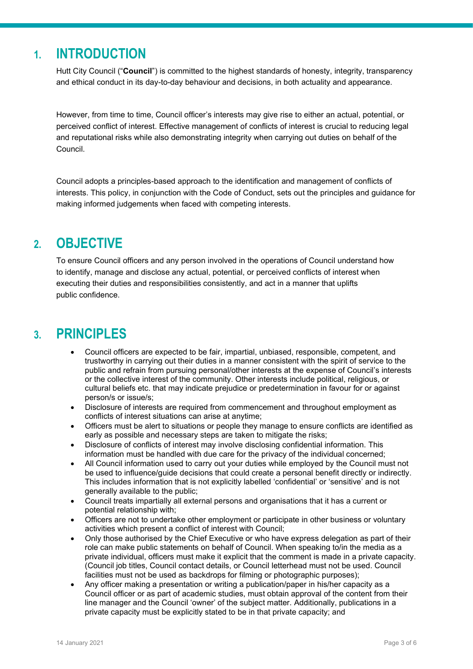## 1. INTRODUCTION

Hutt City Council ("Council") is committed to the highest standards of honesty, integrity, transparency and ethical conduct in its day-to-day behaviour and decisions, in both actuality and appearance.

However, from time to time, Council officer's interests may give rise to either an actual, potential, or perceived conflict of interest. Effective management of conflicts of interest is crucial to reducing legal and reputational risks while also demonstrating integrity when carrying out duties on behalf of the Council.

Council adopts a principles-based approach to the identification and management of conflicts of interests. This policy, in conjunction with the Code of Conduct, sets out the principles and guidance for making informed judgements when faced with competing interests.

## 2. OBJECTIVE

To ensure Council officers and any person involved in the operations of Council understand how to identify, manage and disclose any actual, potential, or perceived conflicts of interest when executing their duties and responsibilities consistently, and act in a manner that uplifts public confidence.

## 3. PRINCIPLES

- Council officers are expected to be fair, impartial, unbiased, responsible, competent, and trustworthy in carrying out their duties in a manner consistent with the spirit of service to the public and refrain from pursuing personal/other interests at the expense of Council's interests or the collective interest of the community. Other interests include political, religious, or cultural beliefs etc. that may indicate prejudice or predetermination in favour for or against person/s or issue/s;
- Disclosure of interests are required from commencement and throughout employment as conflicts of interest situations can arise at anytime;
- Officers must be alert to situations or people they manage to ensure conflicts are identified as early as possible and necessary steps are taken to mitigate the risks;
- Disclosure of conflicts of interest may involve disclosing confidential information. This information must be handled with due care for the privacy of the individual concerned;
- All Council information used to carry out your duties while employed by the Council must not be used to influence/guide decisions that could create a personal benefit directly or indirectly. This includes information that is not explicitly labelled 'confidential' or 'sensitive' and is not generally available to the public;
- Council treats impartially all external persons and organisations that it has a current or potential relationship with;
- Officers are not to undertake other employment or participate in other business or voluntary activities which present a conflict of interest with Council;
- Only those authorised by the Chief Executive or who have express delegation as part of their role can make public statements on behalf of Council. When speaking to/in the media as a private individual, officers must make it explicit that the comment is made in a private capacity. (Council job titles, Council contact details, or Council letterhead must not be used. Council facilities must not be used as backdrops for filming or photographic purposes);
- Any officer making a presentation or writing a publication/paper in his/her capacity as a Council officer or as part of academic studies, must obtain approval of the content from their line manager and the Council 'owner' of the subject matter. Additionally, publications in a private capacity must be explicitly stated to be in that private capacity; and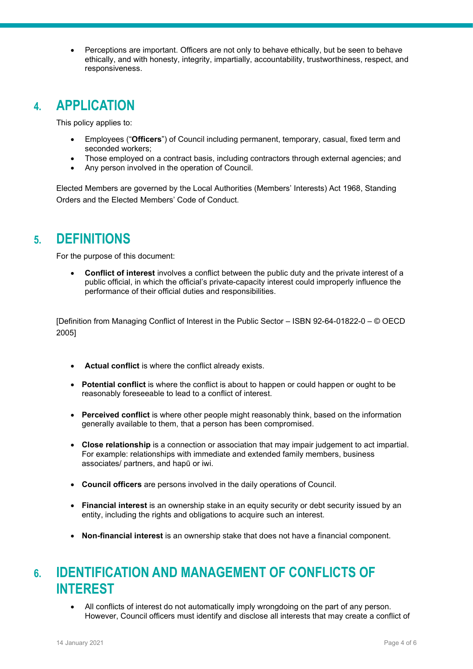Perceptions are important. Officers are not only to behave ethically, but be seen to behave ethically, and with honesty, integrity, impartially, accountability, trustworthiness, respect, and responsiveness.

### 4. APPLICATION

This policy applies to:

- Employees ("Officers") of Council including permanent, temporary, casual, fixed term and seconded workers;
- Those employed on a contract basis, including contractors through external agencies; and
- Any person involved in the operation of Council.

Elected Members are governed by the Local Authorities (Members' Interests) Act 1968, Standing Orders and the Elected Members' Code of Conduct.

#### 5. DEFINITIONS

For the purpose of this document:

• Conflict of interest involves a conflict between the public duty and the private interest of a public official, in which the official's private-capacity interest could improperly influence the performance of their official duties and responsibilities.

[Definition from Managing Conflict of Interest in the Public Sector – ISBN 92-64-01822-0 – © OECD 2005]

- Actual conflict is where the conflict already exists.
- Potential conflict is where the conflict is about to happen or could happen or ought to be reasonably foreseeable to lead to a conflict of interest.
- Perceived conflict is where other people might reasonably think, based on the information generally available to them, that a person has been compromised.
- Close relationship is a connection or association that may impair judgement to act impartial. For example: relationships with immediate and extended family members, business associates/ partners, and hapū or iwi.
- Council officers are persons involved in the daily operations of Council.
- Financial interest is an ownership stake in an equity security or debt security issued by an entity, including the rights and obligations to acquire such an interest.
- Non-financial interest is an ownership stake that does not have a financial component.

## 6. IDENTIFICATION AND MANAGEMENT OF CONFLICTS OF INTEREST

 All conflicts of interest do not automatically imply wrongdoing on the part of any person. However, Council officers must identify and disclose all interests that may create a conflict of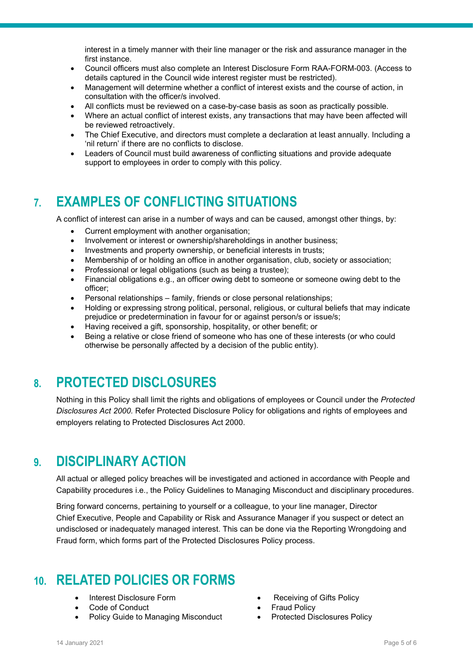interest in a timely manner with their line manager or the risk and assurance manager in the first instance.

- Council officers must also complete an Interest Disclosure Form RAA-FORM-003. (Access to details captured in the Council wide interest register must be restricted).
- Management will determine whether a conflict of interest exists and the course of action, in consultation with the officer/s involved.
- All conflicts must be reviewed on a case-by-case basis as soon as practically possible.
- Where an actual conflict of interest exists, any transactions that may have been affected will be reviewed retroactively.
- The Chief Executive, and directors must complete a declaration at least annually. Including a 'nil return' if there are no conflicts to disclose.
- Leaders of Council must build awareness of conflicting situations and provide adequate support to employees in order to comply with this policy.

## 7. EXAMPLES OF CONFLICTING SITUATIONS

A conflict of interest can arise in a number of ways and can be caused, amongst other things, by:

- Current employment with another organisation;
- Involvement or interest or ownership/shareholdings in another business;
- Investments and property ownership, or beneficial interests in trusts;
- Membership of or holding an office in another organisation, club, society or association;
- Professional or legal obligations (such as being a trustee);
- Financial obligations e.g., an officer owing debt to someone or someone owing debt to the officer;
- Personal relationships family, friends or close personal relationships;
- Holding or expressing strong political, personal, religious, or cultural beliefs that may indicate prejudice or predetermination in favour for or against person/s or issue/s;
- Having received a gift, sponsorship, hospitality, or other benefit; or
- Being a relative or close friend of someone who has one of these interests (or who could otherwise be personally affected by a decision of the public entity).

## 8. PROTECTED DISCLOSURES

Nothing in this Policy shall limit the rights and obligations of employees or Council under the Protected Disclosures Act 2000. Refer Protected Disclosure Policy for obligations and rights of employees and employers relating to Protected Disclosures Act 2000.

#### 9. DISCIPLINARY ACTION

All actual or alleged policy breaches will be investigated and actioned in accordance with People and Capability procedures i.e., the Policy Guidelines to Managing Misconduct and disciplinary procedures.

Bring forward concerns, pertaining to yourself or a colleague, to your line manager, Director Chief Executive, People and Capability or Risk and Assurance Manager if you suspect or detect an undisclosed or inadequately managed interest. This can be done via the Reporting Wrongdoing and Fraud form, which forms part of the Protected Disclosures Policy process.

## 10. RELATED POLICIES OR FORMS

- 
- Code of Conduct **Code of Conduct Fraud Policy**
- Policy Guide to Managing Misconduct **•** Protected Disclosures Policy
- Interest Disclosure Form **Contact Contact Contact Contact Contact Contact Contact Contact Contact Contact Contact Contact Contact Contact Contact Contact Contact Contact Contact Contact Contact Contact Contact Contact Cont** 
	-
	-